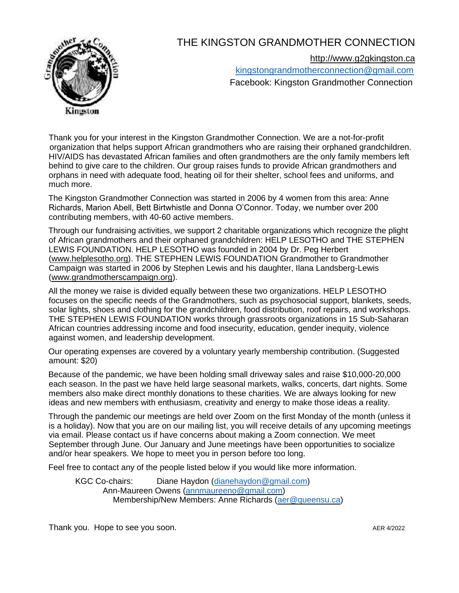

## THE KINGSTON GRANDMOTHER CONNECTION

[http://www.g2gkingston.ca](http://www.g2gkingston.ca/)

[kingstongrandmotherconnection@gmail.com](mailto:kingstongrandmotherconnection@gmail.com) Facebook: Kingston Grandmother Connection

Thank you for your interest in the Kingston Grandmother Connection. We are a not-for-profit organization that helps support African grandmothers who are raising their orphaned grandchildren. HIV/AIDS has devastated African families and often grandmothers are the only family members left behind to give care to the children. Our group raises funds to provide African grandmothers and orphans in need with adequate food, heating oil for their shelter, school fees and uniforms, and much more.

The Kingston Grandmother Connection was started in 2006 by 4 women from this area: Anne Richards, Marion Abell, Bett Birtwhistle and Donna O'Connor. Today, we number over 200 contributing members, with 40-60 active members.

Through our fundraising activities, we support 2 charitable organizations which recognize the plight of African grandmothers and their orphaned grandchildren: HELP LESOTHO and THE STEPHEN LEWIS FOUNDATION. HELP LESOTHO was founded in 2004 by Dr. Peg Herbert [\(www.helplesotho.org\)](http://www.helplesotho.org/). THE STEPHEN LEWIS FOUNDATION Grandmother to Grandmother Campaign was started in 2006 by Stephen Lewis and his daughter, Ilana Landsberg-Lewis [\(www.grandmotherscampaign.org\)](http://www.grandmotherscampaign.org/).

All the money we raise is divided equally between these two organizations. HELP LESOTHO focuses on the specific needs of the Grandmothers, such as psychosocial support, blankets, seeds, solar lights, shoes and clothing for the grandchildren, food distribution, roof repairs, and workshops. THE STEPHEN LEWIS FOUNDATION works through grassroots organizations in 15 Sub-Saharan African countries addressing income and food insecurity, education, gender inequity, violence against women, and leadership development.

Our operating expenses are covered by a voluntary yearly membership contribution. (Suggested amount: \$20)

Because of the pandemic, we have been holding small driveway sales and raise \$10,000-20,000 each season. In the past we have held large seasonal markets, walks, concerts, dart nights. Some members also make direct monthly donations to these charities. We are always looking for new ideas and new members with enthusiasm, creativity and energy to make those ideas a reality.

Through the pandemic our meetings are held over Zoom on the first Monday of the month (unless it is a holiday). Now that you are on our mailing list, you will receive details of any upcoming meetings via email. Please contact us if have concerns about making a Zoom connection. We meet September through June. Our January and June meetings have been opportunities to socialize and/or hear speakers. We hope to meet you in person before too long.

Feel free to contact any of the people listed below if you would like more information.

KGC Co-chairs: Diane Haydon [\(dianehaydon@gmail.com\)](mailto:dianehaydon@gmail.com) Ann-Maureen Owens [\(annmaureeno@gmail.com\)](mailto:annmaureeno@gmail.com) Membership/New Members: Anne Richards [\(aer@queensu.ca\)](mailto:aer@queensu.ca)

Thank you. Hope to see you soon. And the set of the set of the set of the set of the set of the set of the set of the set of the set of the set of the set of the set of the set of the set of the set of the set of the set o